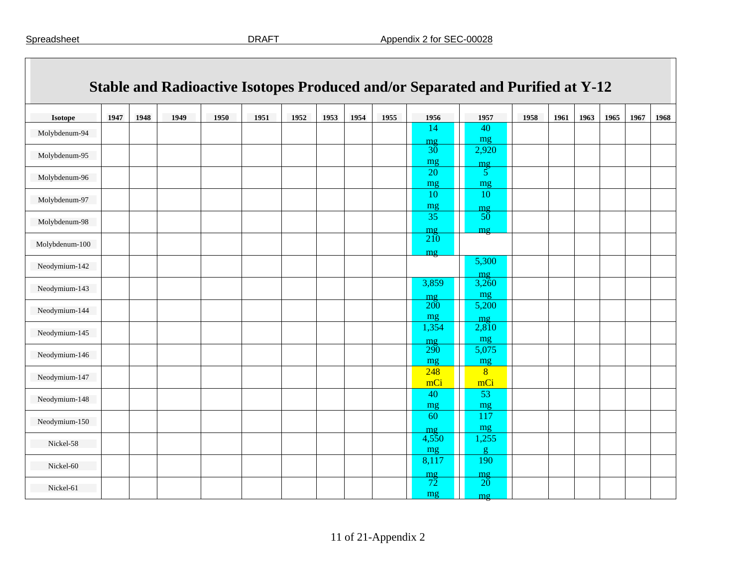|                |      |      |      |      |      |      |      |      |      |                       | Stable and Radioactive Isotopes Produced and/or Separated and Purified at Y-12 |      |      |      |      |      |      |
|----------------|------|------|------|------|------|------|------|------|------|-----------------------|--------------------------------------------------------------------------------|------|------|------|------|------|------|
| <b>Isotope</b> | 1947 | 1948 | 1949 | 1950 | 1951 | 1952 | 1953 | 1954 | 1955 | 1956                  | 1957                                                                           | 1958 | 1961 | 1963 | 1965 | 1967 | 1968 |
| Molybdenum-94  |      |      |      |      |      |      |      |      |      | 14                    | 40<br>mg                                                                       |      |      |      |      |      |      |
| Molybdenum-95  |      |      |      |      |      |      |      |      |      | mg<br>30<br>mg        | 2,920                                                                          |      |      |      |      |      |      |
| Molybdenum-96  |      |      |      |      |      |      |      |      |      | 20<br>mg              | $\frac{mg}{5}$<br>mg                                                           |      |      |      |      |      |      |
| Molybdenum-97  |      |      |      |      |      |      |      |      |      | 10<br>mg              | 10<br>mg                                                                       |      |      |      |      |      |      |
| Molybdenum-98  |      |      |      |      |      |      |      |      |      | 35<br>mg              | 50<br>m <sub>2</sub>                                                           |      |      |      |      |      |      |
| Molybdenum-100 |      |      |      |      |      |      |      |      |      | 210<br>mg             |                                                                                |      |      |      |      |      |      |
| Neodymium-142  |      |      |      |      |      |      |      |      |      |                       | 5,300<br>mg                                                                    |      |      |      |      |      |      |
| Neodymium-143  |      |      |      |      |      |      |      |      |      | 3,859<br>mg           | 3,260<br>mg                                                                    |      |      |      |      |      |      |
| Neodymium-144  |      |      |      |      |      |      |      |      |      | <b>200</b><br>mg      | 5,200<br>mg                                                                    |      |      |      |      |      |      |
| Neodymium-145  |      |      |      |      |      |      |      |      |      | 1,354<br>$m$ g        | 2,810<br>mg                                                                    |      |      |      |      |      |      |
| Neodymium-146  |      |      |      |      |      |      |      |      |      | <b>290</b><br>mg      | 5,075<br>mg                                                                    |      |      |      |      |      |      |
| Neodymium-147  |      |      |      |      |      |      |      |      |      | 248<br>mCi            | $\overline{8}$<br>mCi                                                          |      |      |      |      |      |      |
| Neodymium-148  |      |      |      |      |      |      |      |      |      | 40<br>mg              | 53<br>mg                                                                       |      |      |      |      |      |      |
| Neodymium-150  |      |      |      |      |      |      |      |      |      | 60<br>m <sub>2</sub>  | 117<br>mg                                                                      |      |      |      |      |      |      |
| Nickel-58      |      |      |      |      |      |      |      |      |      | 4,550<br>mg           | 1,255<br>$\mathbf{g}$                                                          |      |      |      |      |      |      |
| Nickel-60      |      |      |      |      |      |      |      |      |      | 8,117                 | 190<br>mg                                                                      |      |      |      |      |      |      |
| Nickel-61      |      |      |      |      |      |      |      |      |      | $\frac{mg}{72}$<br>mg | $20^{\circ}$<br>mg                                                             |      |      |      |      |      |      |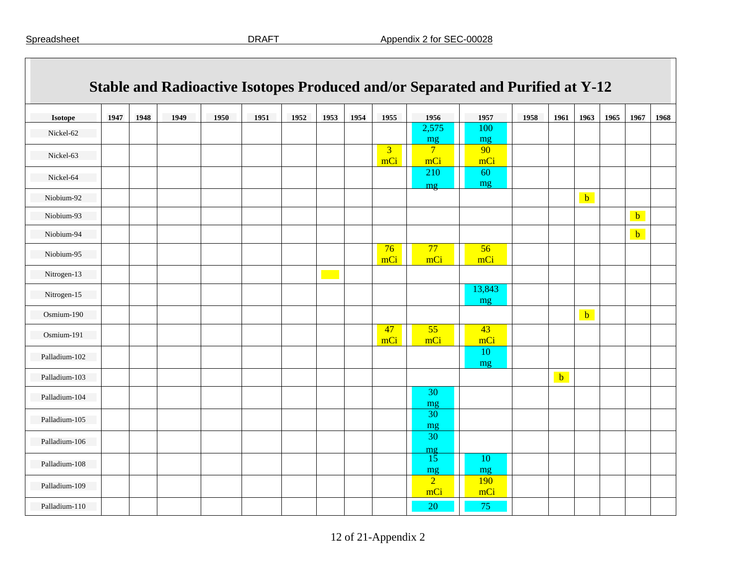|                |      |      |      |      |      |      |      |      |                       | Stable and Radioactive Isotopes Produced and/or Separated and Purified at Y-12 |              |      |              |              |      |              |      |
|----------------|------|------|------|------|------|------|------|------|-----------------------|--------------------------------------------------------------------------------|--------------|------|--------------|--------------|------|--------------|------|
| <b>Isotope</b> | 1947 | 1948 | 1949 | 1950 | 1951 | 1952 | 1953 | 1954 | 1955                  | 1956                                                                           | 1957         | 1958 | 1961         | 1963         | 1965 | 1967         | 1968 |
| Nickel-62      |      |      |      |      |      |      |      |      |                       | 2,575<br>mg                                                                    | 100<br>mg    |      |              |              |      |              |      |
| Nickel-63      |      |      |      |      |      |      |      |      | $\overline{3}$<br>mCi | $7\phantom{.0}$<br>mCi                                                         | 90<br>mCi    |      |              |              |      |              |      |
| Nickel-64      |      |      |      |      |      |      |      |      |                       | 210<br>mg                                                                      | 60<br>mg     |      |              |              |      |              |      |
| Niobium-92     |      |      |      |      |      |      |      |      |                       |                                                                                |              |      |              | $\mathbf{b}$ |      |              |      |
| Niobium-93     |      |      |      |      |      |      |      |      |                       |                                                                                |              |      |              |              |      | $\mathbf{b}$ |      |
| Niobium-94     |      |      |      |      |      |      |      |      |                       |                                                                                |              |      |              |              |      | $\mathbf{b}$ |      |
| Niobium-95     |      |      |      |      |      |      |      |      | 76<br>mCi             | 77<br>mCi                                                                      | 56<br>mCi    |      |              |              |      |              |      |
| Nitrogen-13    |      |      |      |      |      |      |      |      |                       |                                                                                |              |      |              |              |      |              |      |
| Nitrogen-15    |      |      |      |      |      |      |      |      |                       |                                                                                | 13,843<br>mg |      |              |              |      |              |      |
| Osmium-190     |      |      |      |      |      |      |      |      |                       |                                                                                |              |      |              | $\mathbf{b}$ |      |              |      |
| Osmium-191     |      |      |      |      |      |      |      |      | 47<br>mCi             | 55<br>mCi                                                                      | 43<br>mCi    |      |              |              |      |              |      |
| Palladium-102  |      |      |      |      |      |      |      |      |                       |                                                                                | 10<br>mg     |      |              |              |      |              |      |
| Palladium-103  |      |      |      |      |      |      |      |      |                       |                                                                                |              |      | $\mathbf{b}$ |              |      |              |      |
| Palladium-104  |      |      |      |      |      |      |      |      |                       | 30<br>mg                                                                       |              |      |              |              |      |              |      |
| Palladium-105  |      |      |      |      |      |      |      |      |                       | 30<br>mg                                                                       |              |      |              |              |      |              |      |
| Palladium-106  |      |      |      |      |      |      |      |      |                       | 30                                                                             |              |      |              |              |      |              |      |
| Palladium-108  |      |      |      |      |      |      |      |      |                       | $\frac{mg}{15}$<br>mg                                                          | 10<br>mg     |      |              |              |      |              |      |
| Palladium-109  |      |      |      |      |      |      |      |      |                       | $\overline{2}$<br>mCi                                                          | 190<br>mCi   |      |              |              |      |              |      |
| Palladium-110  |      |      |      |      |      |      |      |      |                       | <b>20</b>                                                                      | 75           |      |              |              |      |              |      |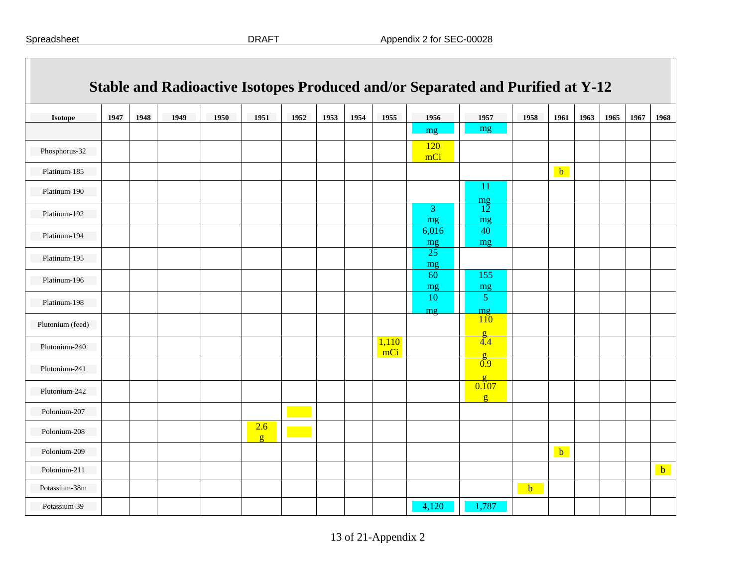| <b>Isotope</b>   | 1947 | 1948 | 1949 | 1950 | 1951                | 1952 | 1953 | 1954 | 1955         | 1956              | 1957                         | 1958 | 1961        | 1963 | 1965 | 1967 | 1968         |
|------------------|------|------|------|------|---------------------|------|------|------|--------------|-------------------|------------------------------|------|-------------|------|------|------|--------------|
|                  |      |      |      |      |                     |      |      |      |              | mg                | mg                           |      |             |      |      |      |              |
| Phosphorus-32    |      |      |      |      |                     |      |      |      |              | <b>120</b><br>mCi |                              |      |             |      |      |      |              |
| Platinum-185     |      |      |      |      |                     |      |      |      |              |                   |                              |      | $\mathbf b$ |      |      |      |              |
| Platinum-190     |      |      |      |      |                     |      |      |      |              |                   | -11<br>mg                    |      |             |      |      |      |              |
| Platinum-192     |      |      |      |      |                     |      |      |      |              | 3<br>mg           | $1\overline{2}$<br>mg        |      |             |      |      |      |              |
| Platinum-194     |      |      |      |      |                     |      |      |      |              | 6,016<br>mg       | 40<br>mg                     |      |             |      |      |      |              |
| Platinum-195     |      |      |      |      |                     |      |      |      |              | 25<br>mg          |                              |      |             |      |      |      |              |
| Platinum-196     |      |      |      |      |                     |      |      |      |              | 60<br>mg          | 155<br>mg                    |      |             |      |      |      |              |
| Platinum-198     |      |      |      |      |                     |      |      |      |              | 10<br>mg          | $\mathfrak{S}$<br>mg         |      |             |      |      |      |              |
| Plutonium (feed) |      |      |      |      |                     |      |      |      |              |                   | 110<br>$\sigma$              |      |             |      |      |      |              |
| Plutonium-240    |      |      |      |      |                     |      |      |      | 1,110<br>mCi |                   | $\sqrt[3]{4}$                |      |             |      |      |      |              |
| Plutonium-241    |      |      |      |      |                     |      |      |      |              |                   | $\sigma$<br>$\overline{0.9}$ |      |             |      |      |      |              |
| Plutonium-242    |      |      |      |      |                     |      |      |      |              |                   | $\sigma$<br>0.107<br>g       |      |             |      |      |      |              |
| Polonium-207     |      |      |      |      |                     |      |      |      |              |                   |                              |      |             |      |      |      |              |
| Polonium-208     |      |      |      |      | 2.6<br>$\mathbf{g}$ |      |      |      |              |                   |                              |      |             |      |      |      |              |
| Polonium-209     |      |      |      |      |                     |      |      |      |              |                   |                              |      | $b$         |      |      |      |              |
| Polonium-211     |      |      |      |      |                     |      |      |      |              |                   |                              |      |             |      |      |      | $\mathbf{b}$ |
| Potassium-38m    |      |      |      |      |                     |      |      |      |              |                   |                              | b    |             |      |      |      |              |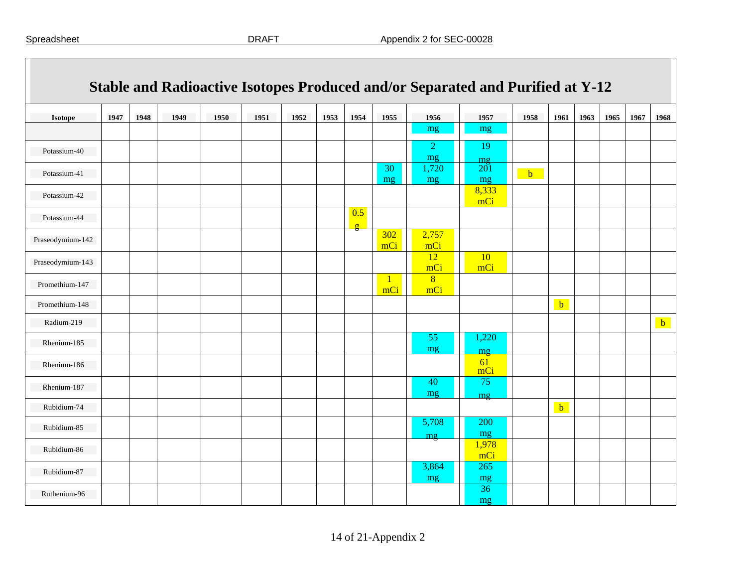|                  |      |      |      |      |      |      |      |                     |            |                       | Stable and Radioactive Isotopes Produced and/or Separated and Purified at Y-12 |              |              |      |      |      |              |
|------------------|------|------|------|------|------|------|------|---------------------|------------|-----------------------|--------------------------------------------------------------------------------|--------------|--------------|------|------|------|--------------|
| <b>Isotope</b>   | 1947 | 1948 | 1949 | 1950 | 1951 | 1952 | 1953 | 1954                | 1955       | 1956                  | 1957                                                                           | 1958         | 1961         | 1963 | 1965 | 1967 | 1968         |
|                  |      |      |      |      |      |      |      |                     |            | mg                    | mg                                                                             |              |              |      |      |      |              |
| Potassium-40     |      |      |      |      |      |      |      |                     |            | $\overline{2}$<br>mg  | 19<br>$m$ g                                                                    |              |              |      |      |      |              |
| Potassium-41     |      |      |      |      |      |      |      |                     | 30<br>mg   | 1,720<br>mg           | 201<br>mg                                                                      | $\mathbf{b}$ |              |      |      |      |              |
| Potassium-42     |      |      |      |      |      |      |      |                     |            |                       | 8,333<br>mCi                                                                   |              |              |      |      |      |              |
| Potassium-44     |      |      |      |      |      |      |      | 0.5<br>$\mathbf{g}$ |            |                       |                                                                                |              |              |      |      |      |              |
| Praseodymium-142 |      |      |      |      |      |      |      |                     | 302<br>mCi | 2,757<br>mCi          |                                                                                |              |              |      |      |      |              |
| Praseodymium-143 |      |      |      |      |      |      |      |                     |            | 12<br>mCi             | 10<br>mCi                                                                      |              |              |      |      |      |              |
| Promethium-147   |      |      |      |      |      |      |      |                     | mCi        | $\overline{8}$<br>mCi |                                                                                |              |              |      |      |      |              |
| Promethium-148   |      |      |      |      |      |      |      |                     |            |                       |                                                                                |              | $\mathbf{b}$ |      |      |      |              |
| Radium-219       |      |      |      |      |      |      |      |                     |            |                       |                                                                                |              |              |      |      |      | $\mathbf{b}$ |
| Rhenium-185      |      |      |      |      |      |      |      |                     |            | 55<br>mg              | 1,220<br>mg                                                                    |              |              |      |      |      |              |
| Rhenium-186      |      |      |      |      |      |      |      |                     |            |                       | 61<br>mCi                                                                      |              |              |      |      |      |              |
| Rhenium-187      |      |      |      |      |      |      |      |                     |            | 40<br>mg              | 75<br>mg                                                                       |              |              |      |      |      |              |
| Rubidium-74      |      |      |      |      |      |      |      |                     |            |                       |                                                                                |              | $\mathbf b$  |      |      |      |              |
| Rubidium-85      |      |      |      |      |      |      |      |                     |            | 5,708<br>mg           | 200<br>mg                                                                      |              |              |      |      |      |              |
| Rubidium-86      |      |      |      |      |      |      |      |                     |            |                       | 1,978<br>mCi                                                                   |              |              |      |      |      |              |
| Rubidium-87      |      |      |      |      |      |      |      |                     |            | 3,864<br>mg           | 265<br>mg                                                                      |              |              |      |      |      |              |
| Ruthenium-96     |      |      |      |      |      |      |      |                     |            |                       | 36<br>mg                                                                       |              |              |      |      |      |              |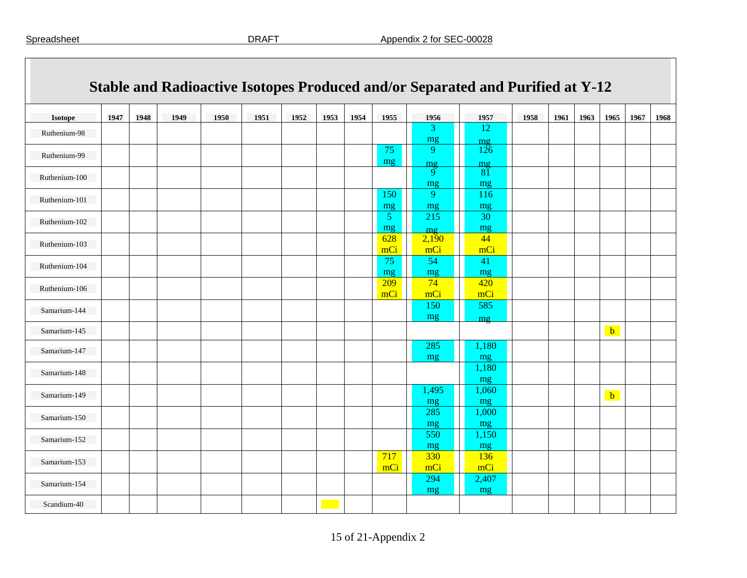| <b>Isotope</b> | 1947 | 1948 | 1949 | 1950 | 1951 | 1952 | 1953 | 1954 | 1955                 | 1956                | 1957        | 1958 | 1961 | 1963 | 1965         | 1967 | 1968 |
|----------------|------|------|------|------|------|------|------|------|----------------------|---------------------|-------------|------|------|------|--------------|------|------|
| Ruthenium-98   |      |      |      |      |      |      |      |      |                      | $\mathbf{3}$<br>mg  | 12<br>mg    |      |      |      |              |      |      |
| Ruthenium-99   |      |      |      |      |      |      |      |      | 75                   | 9                   | 126         |      |      |      |              |      |      |
| Ruthenium-100  |      |      |      |      |      |      |      |      | mg                   | m <sub>g</sub><br>9 | mq<br>81    |      |      |      |              |      |      |
|                |      |      |      |      |      |      |      |      | 150                  | mg<br>9             | mg<br>116   |      |      |      |              |      |      |
| Ruthenium-101  |      |      |      |      |      |      |      |      | mg                   | mg                  | mg          |      |      |      |              |      |      |
| Ruthenium-102  |      |      |      |      |      |      |      |      | $\mathfrak{S}$<br>mg | 215                 | 30<br>mg    |      |      |      |              |      |      |
| Ruthenium-103  |      |      |      |      |      |      |      |      | 628                  | mg<br>2,190         | 44          |      |      |      |              |      |      |
|                |      |      |      |      |      |      |      |      | mCi<br>75            | mCi<br>54           | mCi<br>41   |      |      |      |              |      |      |
| Ruthenium-104  |      |      |      |      |      |      |      |      | mg                   | mg                  | mg          |      |      |      |              |      |      |
| Ruthenium-106  |      |      |      |      |      |      |      |      | 209<br>mCi           | 74<br>mCi           | 420<br>mCi  |      |      |      |              |      |      |
| Samarium-144   |      |      |      |      |      |      |      |      |                      | 150<br>mg           | 585         |      |      |      |              |      |      |
| Samarium-145   |      |      |      |      |      |      |      |      |                      |                     | mg          |      |      |      | $\mathbf{b}$ |      |      |
| Samarium-147   |      |      |      |      |      |      |      |      |                      | 285                 | 1,180       |      |      |      |              |      |      |
| Samarium-148   |      |      |      |      |      |      |      |      |                      | mg                  | mg<br>1,180 |      |      |      |              |      |      |
|                |      |      |      |      |      |      |      |      |                      |                     | mg          |      |      |      |              |      |      |
| Samarium-149   |      |      |      |      |      |      |      |      |                      | 1,495<br>mg         | 1,060<br>mg |      |      |      | $b$          |      |      |
| Samarium-150   |      |      |      |      |      |      |      |      |                      | 285<br>mg           | 1,000<br>mg |      |      |      |              |      |      |
| Samarium-152   |      |      |      |      |      |      |      |      |                      | 550                 | 1,150       |      |      |      |              |      |      |
|                |      |      |      |      |      |      |      |      | 717                  | mg<br>330           | mg<br>136   |      |      |      |              |      |      |
| Samarium-153   |      |      |      |      |      |      |      |      | mCi                  | mc <sub>i</sub>     | mCi         |      |      |      |              |      |      |
| Samarium-154   |      |      |      |      |      |      |      |      |                      | 294<br>mg           | 2,407<br>mg |      |      |      |              |      |      |
| Scandium-40    |      |      |      |      |      |      |      |      |                      |                     |             |      |      |      |              |      |      |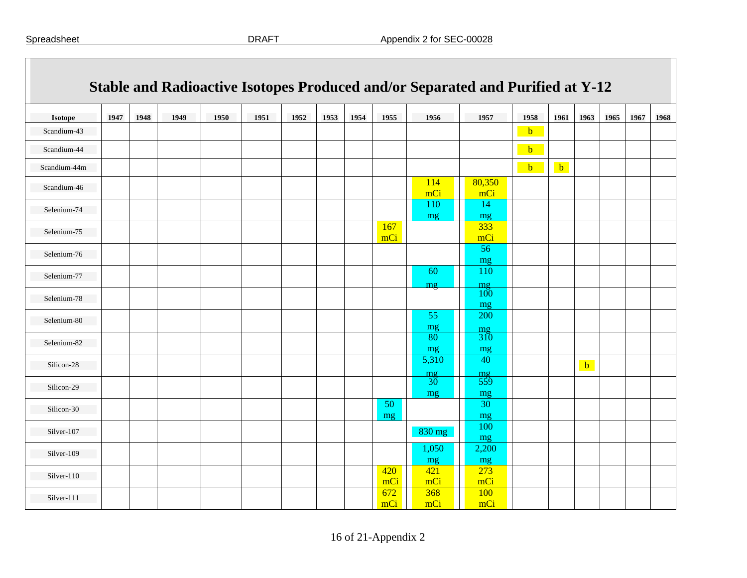| Stable and Radioactive Isotopes Produced and/or Separated and Purified at Y-12 |      |      |      |      |      |      |      |      |            |            |               |              |              |              |      |      |      |
|--------------------------------------------------------------------------------|------|------|------|------|------|------|------|------|------------|------------|---------------|--------------|--------------|--------------|------|------|------|
| <b>Isotope</b>                                                                 | 1947 | 1948 | 1949 | 1950 | 1951 | 1952 | 1953 | 1954 | 1955       | 1956       | 1957          | 1958         | 1961         | 1963         | 1965 | 1967 | 1968 |
| Scandium-43                                                                    |      |      |      |      |      |      |      |      |            |            |               | $\mathbf{b}$ |              |              |      |      |      |
| Scandium-44                                                                    |      |      |      |      |      |      |      |      |            |            |               | $\mathbf{b}$ |              |              |      |      |      |
| Scandium-44m                                                                   |      |      |      |      |      |      |      |      |            |            |               | $b$          | $\mathbf{b}$ |              |      |      |      |
| Scandium-46                                                                    |      |      |      |      |      |      |      |      |            | 114<br>mCi | 80,350<br>mCi |              |              |              |      |      |      |
| Selenium-74                                                                    |      |      |      |      |      |      |      |      |            | 110        | 14            |              |              |              |      |      |      |
|                                                                                |      |      |      |      |      |      |      |      |            | mg         | mg            |              |              |              |      |      |      |
| Selenium-75                                                                    |      |      |      |      |      |      |      |      | 167<br>mCi |            | 333<br>mCi    |              |              |              |      |      |      |
| Selenium-76                                                                    |      |      |      |      |      |      |      |      |            |            | 56            |              |              |              |      |      |      |
| Selenium-77                                                                    |      |      |      |      |      |      |      |      |            | 60         | mg<br>110     |              |              |              |      |      |      |
|                                                                                |      |      |      |      |      |      |      |      |            | mg         | mg            |              |              |              |      |      |      |
| Selenium-78                                                                    |      |      |      |      |      |      |      |      |            |            | 100<br>mg     |              |              |              |      |      |      |
| Selenium-80                                                                    |      |      |      |      |      |      |      |      |            | 55         | 200           |              |              |              |      |      |      |
|                                                                                |      |      |      |      |      |      |      |      |            | mg<br>80   | mg<br>310     |              |              |              |      |      |      |
| Selenium-82                                                                    |      |      |      |      |      |      |      |      |            | mg         | mg            |              |              |              |      |      |      |
| Silicon-28                                                                     |      |      |      |      |      |      |      |      |            | 5,310      | 40            |              |              | $\mathbf{b}$ |      |      |      |
|                                                                                |      |      |      |      |      |      |      |      |            | mg<br>30   | mg<br>559     |              |              |              |      |      |      |
| Silicon-29                                                                     |      |      |      |      |      |      |      |      |            | mg         | mg            |              |              |              |      |      |      |
| Silicon-30                                                                     |      |      |      |      |      |      |      |      | 50         |            | 30            |              |              |              |      |      |      |
|                                                                                |      |      |      |      |      |      |      |      | mg         |            | mg            |              |              |              |      |      |      |
| Silver-107                                                                     |      |      |      |      |      |      |      |      |            | 830 mg     | 100<br>mg     |              |              |              |      |      |      |
| Silver-109                                                                     |      |      |      |      |      |      |      |      |            | 1,050      | 2,200         |              |              |              |      |      |      |
| Silver-110                                                                     |      |      |      |      |      |      |      |      | 420        | mg<br>421  | mg<br>273     |              |              |              |      |      |      |
|                                                                                |      |      |      |      |      |      |      |      | mCi        | mCi        | mCi           |              |              |              |      |      |      |
| Silver-111                                                                     |      |      |      |      |      |      |      |      | 672<br>mCi | 368<br>mCi | 100<br>mCi    |              |              |              |      |      |      |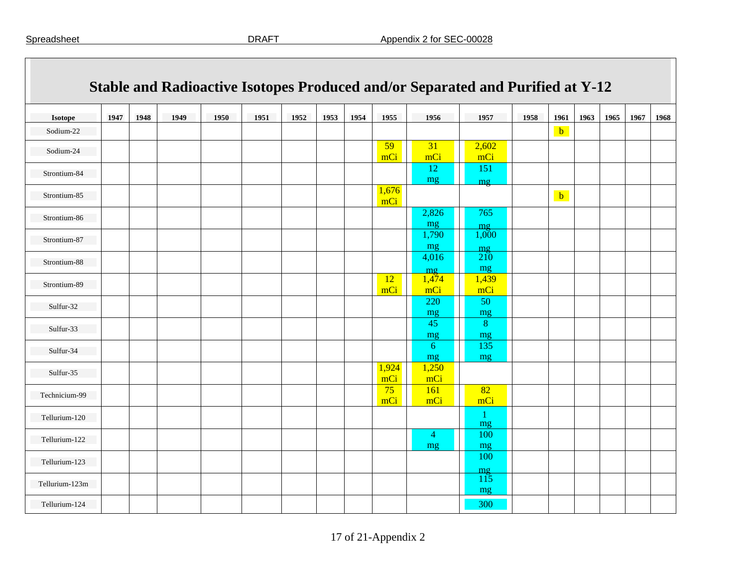| Isotope        | 1947 | 1948 | 1949 | 1950 | 1951 | 1952 | 1953 | 1954 | 1955         | 1956        | 1957      | 1958 | 1961         | 1963 | 1965 | 1967 | 1968 |
|----------------|------|------|------|------|------|------|------|------|--------------|-------------|-----------|------|--------------|------|------|------|------|
| Sodium-22      |      |      |      |      |      |      |      |      |              |             |           |      | $\mathbf b$  |      |      |      |      |
|                |      |      |      |      |      |      |      |      | 59           | 31          | 2,602     |      |              |      |      |      |      |
| Sodium-24      |      |      |      |      |      |      |      |      | mCi          | mCi         | mCi       |      |              |      |      |      |      |
| Strontium-84   |      |      |      |      |      |      |      |      |              | 12          | 151       |      |              |      |      |      |      |
|                |      |      |      |      |      |      |      |      |              | mg          | mg        |      |              |      |      |      |      |
| Strontium-85   |      |      |      |      |      |      |      |      | 1,676<br>mCi |             |           |      | $\mathbf{b}$ |      |      |      |      |
| Strontium-86   |      |      |      |      |      |      |      |      |              | 2,826       | 765       |      |              |      |      |      |      |
|                |      |      |      |      |      |      |      |      |              | mg          | mg        |      |              |      |      |      |      |
| Strontium-87   |      |      |      |      |      |      |      |      |              | 1,790       | 1,000     |      |              |      |      |      |      |
|                |      |      |      |      |      |      |      |      |              | mg<br>4,016 | mg<br>210 |      |              |      |      |      |      |
| Strontium-88   |      |      |      |      |      |      |      |      |              |             | mg        |      |              |      |      |      |      |
|                |      |      |      |      |      |      |      |      | <b>12</b>    | mg<br>1,474 | 1,439     |      |              |      |      |      |      |
| Strontium-89   |      |      |      |      |      |      |      |      | mCi          | mCi         | mCi       |      |              |      |      |      |      |
| Sulfur-32      |      |      |      |      |      |      |      |      |              | 220         | 50        |      |              |      |      |      |      |
|                |      |      |      |      |      |      |      |      |              | mg          | mg        |      |              |      |      |      |      |
| Sulfur-33      |      |      |      |      |      |      |      |      |              | 45          | 8         |      |              |      |      |      |      |
|                |      |      |      |      |      |      |      |      |              | mg<br>6     | mg<br>135 |      |              |      |      |      |      |
| Sulfur-34      |      |      |      |      |      |      |      |      |              | mg          | mg        |      |              |      |      |      |      |
|                |      |      |      |      |      |      |      |      | 1,924        | 1,250       |           |      |              |      |      |      |      |
| Sulfur-35      |      |      |      |      |      |      |      |      | mCi          | mCi         |           |      |              |      |      |      |      |
| Technicium-99  |      |      |      |      |      |      |      |      | 75           | 161         | 82        |      |              |      |      |      |      |
|                |      |      |      |      |      |      |      |      | mCi          | mCi         | mCi       |      |              |      |      |      |      |
| Tellurium-120  |      |      |      |      |      |      |      |      |              |             | -1<br>mg  |      |              |      |      |      |      |
|                |      |      |      |      |      |      |      |      |              | 4           | 100       |      |              |      |      |      |      |
| Tellurium-122  |      |      |      |      |      |      |      |      |              | mg          | mg        |      |              |      |      |      |      |
| Tellurium-123  |      |      |      |      |      |      |      |      |              |             | 100       |      |              |      |      |      |      |
|                |      |      |      |      |      |      |      |      |              |             | mg        |      |              |      |      |      |      |
| Tellurium-123m |      |      |      |      |      |      |      |      |              |             | 115<br>mg |      |              |      |      |      |      |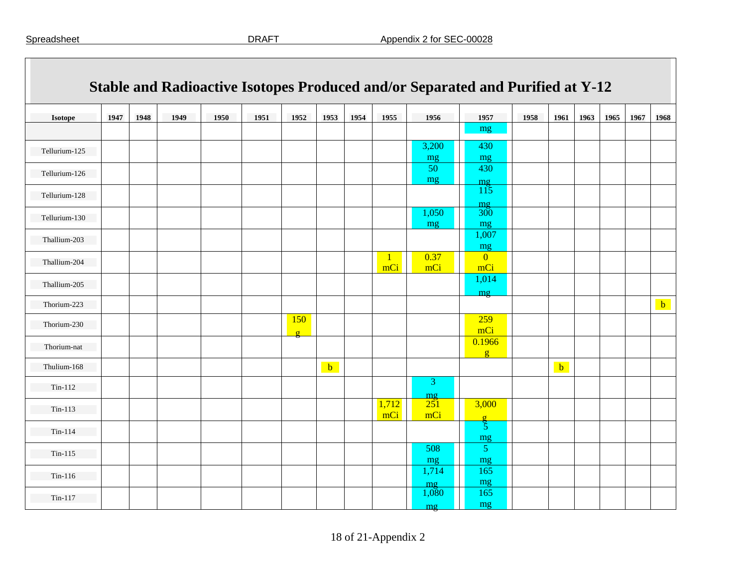|                |      |      |      |      |      |                 |      |      |                     |                         | Stable and Radioactive Isotopes Produced and/or Separated and Purified at Y-12 |      |              |      |      |      |              |
|----------------|------|------|------|------|------|-----------------|------|------|---------------------|-------------------------|--------------------------------------------------------------------------------|------|--------------|------|------|------|--------------|
| <b>Isotope</b> | 1947 | 1948 | 1949 | 1950 | 1951 | 1952            | 1953 | 1954 | 1955                | 1956                    | 1957                                                                           | 1958 | 1961         | 1963 | 1965 | 1967 | 1968         |
|                |      |      |      |      |      |                 |      |      |                     |                         | mg                                                                             |      |              |      |      |      |              |
| Tellurium-125  |      |      |      |      |      |                 |      |      |                     | 3,200<br>mg             | 430<br>mg                                                                      |      |              |      |      |      |              |
| Tellurium-126  |      |      |      |      |      |                 |      |      |                     | 50<br>mg                | 430                                                                            |      |              |      |      |      |              |
| Tellurium-128  |      |      |      |      |      |                 |      |      |                     |                         | mg<br>115                                                                      |      |              |      |      |      |              |
| Tellurium-130  |      |      |      |      |      |                 |      |      |                     | 1,050<br>mg             | mg<br>$300^{\circ}$<br>mg                                                      |      |              |      |      |      |              |
| Thallium-203   |      |      |      |      |      |                 |      |      |                     |                         | 1,007<br>mg                                                                    |      |              |      |      |      |              |
| Thallium-204   |      |      |      |      |      |                 |      |      | $\mathbf{1}$<br>mCi | 0.37<br>mCi             | $\overline{0}$<br>mCi                                                          |      |              |      |      |      |              |
| Thallium-205   |      |      |      |      |      |                 |      |      |                     |                         | 1,014                                                                          |      |              |      |      |      |              |
| Thorium-223    |      |      |      |      |      |                 |      |      |                     |                         | mg                                                                             |      |              |      |      |      | $\mathbf{b}$ |
| Thorium-230    |      |      |      |      |      | 150<br>$\sigma$ |      |      |                     |                         | 259<br>mCi                                                                     |      |              |      |      |      |              |
| Thorium-nat    |      |      |      |      |      |                 |      |      |                     |                         | 0.1966<br>$\mathbf{g}$                                                         |      |              |      |      |      |              |
| Thulium-168    |      |      |      |      |      |                 | $b$  |      |                     |                         |                                                                                |      | $\mathbf{b}$ |      |      |      |              |
| $Tin-112$      |      |      |      |      |      |                 |      |      |                     | 3                       |                                                                                |      |              |      |      |      |              |
| $Tin-113$      |      |      |      |      |      |                 |      |      | 1,712<br>mCi        | $\frac{mg}{251}$<br>mCi | 3,000<br>$\sigma$                                                              |      |              |      |      |      |              |
| $Tin-114$      |      |      |      |      |      |                 |      |      |                     |                         | $\overline{5}$<br>mg                                                           |      |              |      |      |      |              |
| $Tin-115$      |      |      |      |      |      |                 |      |      |                     | 508<br>mg               | 5 <sup>5</sup><br>mg                                                           |      |              |      |      |      |              |
| $Tin-116$      |      |      |      |      |      |                 |      |      |                     | 1,714<br>mg             | 165<br>mg                                                                      |      |              |      |      |      |              |
| $Tin-117$      |      |      |      |      |      |                 |      |      |                     | 1,080<br>mg             | 165<br>mg                                                                      |      |              |      |      |      |              |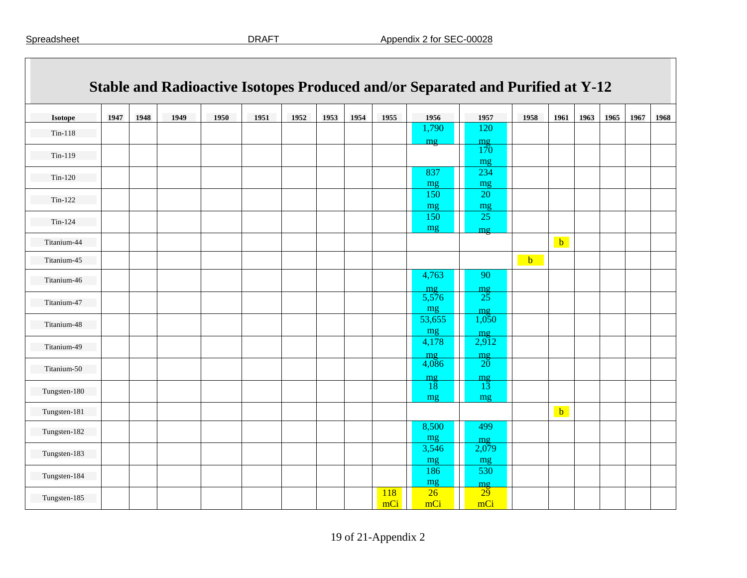|              |      |      |      |      |      |      |      |      |            |                       | Stable and Radioactive Isotopes Produced and/or Separated and Purified at Y-12 |      |              |      |      |      |      |
|--------------|------|------|------|------|------|------|------|------|------------|-----------------------|--------------------------------------------------------------------------------|------|--------------|------|------|------|------|
| Isotope      | 1947 | 1948 | 1949 | 1950 | 1951 | 1952 | 1953 | 1954 | 1955       | 1956                  | 1957                                                                           | 1958 | 1961         | 1963 | 1965 | 1967 | 1968 |
| $Tin-118$    |      |      |      |      |      |      |      |      |            | 1,790                 | 120                                                                            |      |              |      |      |      |      |
| $Tin-119$    |      |      |      |      |      |      |      |      |            | mg                    | $m\sigma$<br>170<br>mg                                                         |      |              |      |      |      |      |
| $Tin-120$    |      |      |      |      |      |      |      |      |            | 837<br>mg             | 234<br>mg                                                                      |      |              |      |      |      |      |
| $Tin-122$    |      |      |      |      |      |      |      |      |            | 150<br>mg             | 20<br>mg                                                                       |      |              |      |      |      |      |
| $Tin-124$    |      |      |      |      |      |      |      |      |            | 150<br>mg             | $\overline{25}$<br>mg                                                          |      |              |      |      |      |      |
| Titanium-44  |      |      |      |      |      |      |      |      |            |                       |                                                                                |      | $b$          |      |      |      |      |
| Titanium-45  |      |      |      |      |      |      |      |      |            |                       |                                                                                | $b$  |              |      |      |      |      |
| Titanium-46  |      |      |      |      |      |      |      |      |            | 4,763<br>mg           | 90<br>mg                                                                       |      |              |      |      |      |      |
| Titanium-47  |      |      |      |      |      |      |      |      |            | 5,576<br>mg           | 25<br>mg                                                                       |      |              |      |      |      |      |
| Titanium-48  |      |      |      |      |      |      |      |      |            | 53,655<br>mg          | 1,050<br>mg                                                                    |      |              |      |      |      |      |
| Titanium-49  |      |      |      |      |      |      |      |      |            | 4,178                 | 2,912                                                                          |      |              |      |      |      |      |
| Titanium-50  |      |      |      |      |      |      |      |      |            | mg<br>4,086           | $\frac{mg}{20}$                                                                |      |              |      |      |      |      |
| Tungsten-180 |      |      |      |      |      |      |      |      |            | $\frac{mg}{18}$<br>mg | $\frac{mg}{13}$<br>mg                                                          |      |              |      |      |      |      |
| Tungsten-181 |      |      |      |      |      |      |      |      |            |                       |                                                                                |      | $\mathbf{b}$ |      |      |      |      |
| Tungsten-182 |      |      |      |      |      |      |      |      |            | 8,500<br>mg           | 499<br>mg                                                                      |      |              |      |      |      |      |
| Tungsten-183 |      |      |      |      |      |      |      |      |            | 3,546<br>mg           | 2,079<br>mg                                                                    |      |              |      |      |      |      |
| Tungsten-184 |      |      |      |      |      |      |      |      |            | 186<br>mg             | 530<br>mg                                                                      |      |              |      |      |      |      |
| Tungsten-185 |      |      |      |      |      |      |      |      | 118<br>mCi | 26<br>mCi             | 29<br>mCi                                                                      |      |              |      |      |      |      |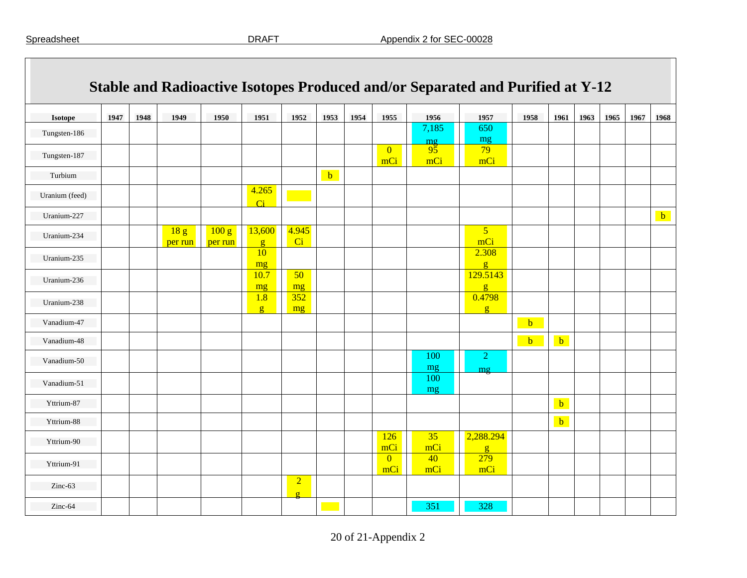| Isotope        | 1947 | 1948 | 1949                         | 1950             | 1951                      | 1952                       | 1953         | 1954 | 1955                  | 1956                   | 1957                      | 1958         | 1961         | 1963 | 1965 | 1967 | 1968 |
|----------------|------|------|------------------------------|------------------|---------------------------|----------------------------|--------------|------|-----------------------|------------------------|---------------------------|--------------|--------------|------|------|------|------|
| Tungsten-186   |      |      |                              |                  |                           |                            |              |      |                       | 7,185                  | 650<br>mg                 |              |              |      |      |      |      |
| Tungsten-187   |      |      |                              |                  |                           |                            |              |      | $\overline{0}$<br>mCi | $\frac{mg}{95}$<br>mCi | 79<br>mCi                 |              |              |      |      |      |      |
| Turbium        |      |      |                              |                  |                           |                            | $\mathbf{b}$ |      |                       |                        |                           |              |              |      |      |      |      |
| Uranium (feed) |      |      |                              |                  | 4.265<br>$\overline{C}$ i |                            |              |      |                       |                        |                           |              |              |      |      |      |      |
| Uranium-227    |      |      |                              |                  |                           |                            |              |      |                       |                        |                           |              |              |      |      |      | $b$  |
| Uranium-234    |      |      | $\overline{18}$ g<br>per run | 100 g<br>per run | 13,600<br>g               | 4.945<br>Ci                |              |      |                       |                        | 5 <sup>5</sup><br>mCi     |              |              |      |      |      |      |
| Uranium-235    |      |      |                              |                  | 10<br>mg                  |                            |              |      |                       |                        | 2.308<br>$\mathbf{g}$     |              |              |      |      |      |      |
| Uranium-236    |      |      |                              |                  | 10.7<br>mg                | 50<br>mg                   |              |      |                       |                        | 129.5143<br>g             |              |              |      |      |      |      |
| Uranium-238    |      |      |                              |                  | 1.8<br>$\mathbf{g}$       | 352<br>mg                  |              |      |                       |                        | 0.4798<br>g               |              |              |      |      |      |      |
| Vanadium-47    |      |      |                              |                  |                           |                            |              |      |                       |                        |                           | $\mathbf{b}$ |              |      |      |      |      |
| Vanadium-48    |      |      |                              |                  |                           |                            |              |      |                       |                        |                           | $b$          | $\mathbf{b}$ |      |      |      |      |
| Vanadium-50    |      |      |                              |                  |                           |                            |              |      |                       | 100<br>mg              | $\overline{2}$<br>mq      |              |              |      |      |      |      |
| Vanadium-51    |      |      |                              |                  |                           |                            |              |      |                       | 100<br>mg              |                           |              |              |      |      |      |      |
| Yttrium-87     |      |      |                              |                  |                           |                            |              |      |                       |                        |                           |              | $\mathbf b$  |      |      |      |      |
| Yttrium-88     |      |      |                              |                  |                           |                            |              |      |                       |                        |                           |              | $\mathbf b$  |      |      |      |      |
| Yttrium-90     |      |      |                              |                  |                           |                            |              |      | 126<br>mCi            | 35<br>mCi              | 2,288.294<br>$\mathbf{g}$ |              |              |      |      |      |      |
| Yttrium-91     |      |      |                              |                  |                           |                            |              |      | $\overline{0}$<br>mCi | 40<br>mCi              | 279<br>mCi                |              |              |      |      |      |      |
| Zinc-63        |      |      |                              |                  |                           | $\overline{2}$<br>$\sigma$ |              |      |                       |                        |                           |              |              |      |      |      |      |
| Zinc-64        |      |      |                              |                  |                           |                            |              |      |                       | 351                    | 328                       |              |              |      |      |      |      |